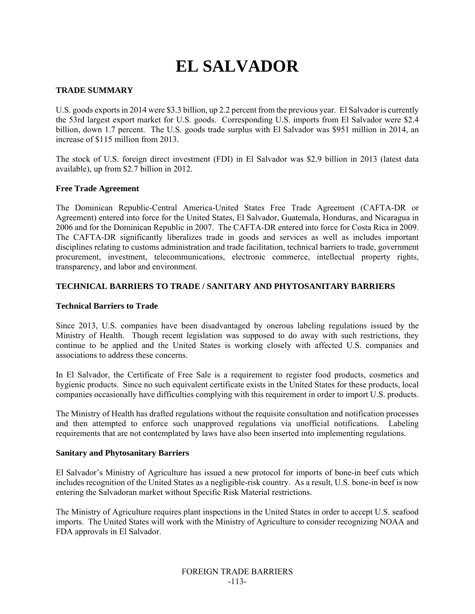# **EL SALVADOR**

## **TRADE SUMMARY**

U.S. goods exports in 2014 were \$3.3 billion, up 2.2 percent from the previous year. El Salvador is currently the 53rd largest export market for U.S. goods. Corresponding U.S. imports from El Salvador were \$2.4 billion, down 1.7 percent. The U.S. goods trade surplus with El Salvador was \$951 million in 2014, an increase of \$115 million from 2013.

The stock of U.S. foreign direct investment (FDI) in El Salvador was \$2.9 billion in 2013 (latest data available), up from \$2.7 billion in 2012.

#### **Free Trade Agreement**

The Dominican Republic-Central America-United States Free Trade Agreement (CAFTA-DR or Agreement) entered into force for the United States, El Salvador, Guatemala, Honduras, and Nicaragua in 2006 and for the Dominican Republic in 2007. The CAFTA-DR entered into force for Costa Rica in 2009. The CAFTA-DR significantly liberalizes trade in goods and services as well as includes important disciplines relating to customs administration and trade facilitation, technical barriers to trade, government procurement, investment, telecommunications, electronic commerce, intellectual property rights, transparency, and labor and environment.

## **TECHNICAL BARRIERS TO TRADE / SANITARY AND PHYTOSANITARY BARRIERS**

## **Technical Barriers to Trade**

Since 2013, U.S. companies have been disadvantaged by onerous labeling regulations issued by the Ministry of Health. Though recent legislation was supposed to do away with such restrictions, they continue to be applied and the United States is working closely with affected U.S. companies and associations to address these concerns.

In El Salvador, the Certificate of Free Sale is a requirement to register food products, cosmetics and hygienic products. Since no such equivalent certificate exists in the United States for these products, local companies occasionally have difficulties complying with this requirement in order to import U.S. products.

The Ministry of Health has drafted regulations without the requisite consultation and notification processes and then attempted to enforce such unapproved regulations via unofficial notifications. Labeling requirements that are not contemplated by laws have also been inserted into implementing regulations.

#### **Sanitary and Phytosanitary Barriers**

El Salvador's Ministry of Agriculture has issued a new protocol for imports of bone-in beef cuts which includes recognition of the United States as a negligible-risk country. As a result, U.S. bone-in beef is now entering the Salvadoran market without Specific Risk Material restrictions.

The Ministry of Agriculture requires plant inspections in the United States in order to accept U.S. seafood imports. The United States will work with the Ministry of Agriculture to consider recognizing NOAA and FDA approvals in El Salvador.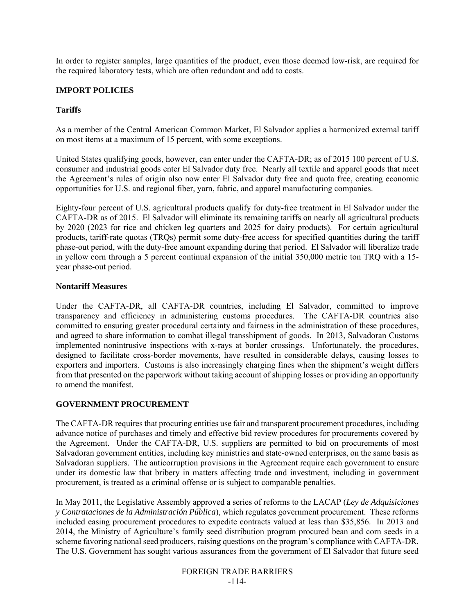In order to register samples, large quantities of the product, even those deemed low-risk, are required for the required laboratory tests, which are often redundant and add to costs.

## **IMPORT POLICIES**

## **Tariffs**

As a member of the Central American Common Market, El Salvador applies a harmonized external tariff on most items at a maximum of 15 percent, with some exceptions.

United States qualifying goods, however, can enter under the CAFTA-DR; as of 2015 100 percent of U.S. consumer and industrial goods enter El Salvador duty free. Nearly all textile and apparel goods that meet the Agreement's rules of origin also now enter El Salvador duty free and quota free, creating economic opportunities for U.S. and regional fiber, yarn, fabric, and apparel manufacturing companies.

Eighty-four percent of U.S. agricultural products qualify for duty-free treatment in El Salvador under the CAFTA-DR as of 2015. El Salvador will eliminate its remaining tariffs on nearly all agricultural products by 2020 (2023 for rice and chicken leg quarters and 2025 for dairy products). For certain agricultural products, tariff-rate quotas (TRQs) permit some duty-free access for specified quantities during the tariff phase-out period, with the duty-free amount expanding during that period. El Salvador will liberalize trade in yellow corn through a 5 percent continual expansion of the initial 350,000 metric ton TRQ with a 15 year phase-out period.

## **Nontariff Measures**

Under the CAFTA-DR, all CAFTA-DR countries, including El Salvador, committed to improve transparency and efficiency in administering customs procedures. The CAFTA-DR countries also committed to ensuring greater procedural certainty and fairness in the administration of these procedures, and agreed to share information to combat illegal transshipment of goods. In 2013, Salvadoran Customs implemented nonintrusive inspections with x-rays at border crossings. Unfortunately, the procedures, designed to facilitate cross-border movements, have resulted in considerable delays, causing losses to exporters and importers. Customs is also increasingly charging fines when the shipment's weight differs from that presented on the paperwork without taking account of shipping losses or providing an opportunity to amend the manifest.

## **GOVERNMENT PROCUREMENT**

The CAFTA-DR requires that procuring entities use fair and transparent procurement procedures, including advance notice of purchases and timely and effective bid review procedures for procurements covered by the Agreement. Under the CAFTA-DR, U.S. suppliers are permitted to bid on procurements of most Salvadoran government entities, including key ministries and state-owned enterprises, on the same basis as Salvadoran suppliers. The anticorruption provisions in the Agreement require each government to ensure under its domestic law that bribery in matters affecting trade and investment, including in government procurement, is treated as a criminal offense or is subject to comparable penalties.

In May 2011, the Legislative Assembly approved a series of reforms to the LACAP (*Ley de Adquisiciones y Contrataciones de la Administración Pública*), which regulates government procurement. These reforms included easing procurement procedures to expedite contracts valued at less than \$35,856. In 2013 and 2014, the Ministry of Agriculture's family seed distribution program procured bean and corn seeds in a scheme favoring national seed producers, raising questions on the program's compliance with CAFTA-DR. The U.S. Government has sought various assurances from the government of El Salvador that future seed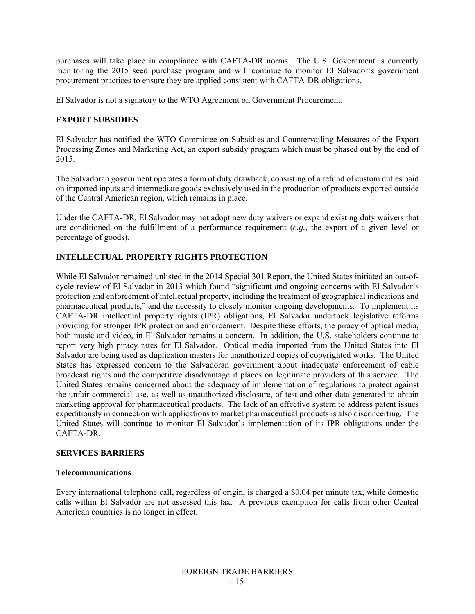purchases will take place in compliance with CAFTA-DR norms. The U.S. Government is currently monitoring the 2015 seed purchase program and will continue to monitor El Salvador's government procurement practices to ensure they are applied consistent with CAFTA-DR obligations.

El Salvador is not a signatory to the WTO Agreement on Government Procurement.

## **EXPORT SUBSIDIES**

El Salvador has notified the WTO Committee on Subsidies and Countervailing Measures of the Export Processing Zones and Marketing Act, an export subsidy program which must be phased out by the end of 2015.

The Salvadoran government operates a form of duty drawback, consisting of a refund of custom duties paid on imported inputs and intermediate goods exclusively used in the production of products exported outside of the Central American region, which remains in place.

Under the CAFTA-DR, El Salvador may not adopt new duty waivers or expand existing duty waivers that are conditioned on the fulfillment of a performance requirement (*e.g.*, the export of a given level or percentage of goods).

# **INTELLECTUAL PROPERTY RIGHTS PROTECTION**

While El Salvador remained unlisted in the 2014 Special 301 Report, the United States initiated an out-ofcycle review of El Salvador in 2013 which found "significant and ongoing concerns with El Salvador's protection and enforcement of intellectual property, including the treatment of geographical indications and pharmaceutical products," and the necessity to closely monitor ongoing developments. To implement its CAFTA-DR intellectual property rights (IPR) obligations, El Salvador undertook legislative reforms providing for stronger IPR protection and enforcement. Despite these efforts, the piracy of optical media, both music and video, in El Salvador remains a concern. In addition, the U.S. stakeholders continue to report very high piracy rates for El Salvador. Optical media imported from the United States into El Salvador are being used as duplication masters for unauthorized copies of copyrighted works. The United States has expressed concern to the Salvadoran government about inadequate enforcement of cable broadcast rights and the competitive disadvantage it places on legitimate providers of this service. The United States remains concerned about the adequacy of implementation of regulations to protect against the unfair commercial use, as well as unauthorized disclosure, of test and other data generated to obtain marketing approval for pharmaceutical products. The lack of an effective system to address patent issues expeditiously in connection with applications to market pharmaceutical products is also disconcerting. The United States will continue to monitor El Salvador's implementation of its IPR obligations under the CAFTA-DR.

## **SERVICES BARRIERS**

#### **Telecommunications**

Every international telephone call, regardless of origin, is charged a \$0.04 per minute tax, while domestic calls within El Salvador are not assessed this tax. A previous exemption for calls from other Central American countries is no longer in effect.